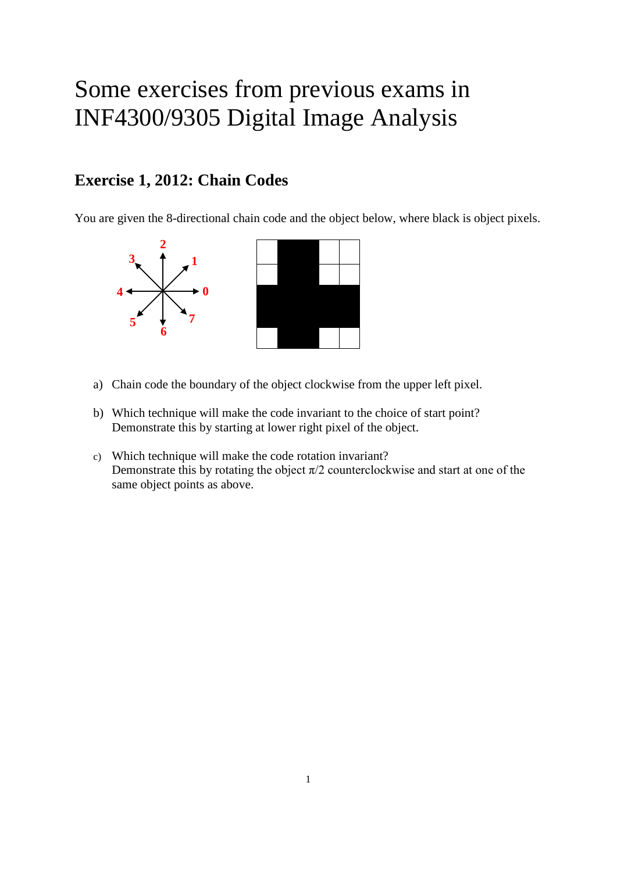# Some exercises from previous exams in INF4300/9305 Digital Image Analysis

## **Exercise 1, 2012: Chain Codes**

You are given the 8-directional chain code and the object below, where black is object pixels.



- a) Chain code the boundary of the object clockwise from the upper left pixel.
- b) Which technique will make the code invariant to the choice of start point? Demonstrate this by starting at lower right pixel of the object.
- c) Which technique will make the code rotation invariant? Demonstrate this by rotating the object  $\pi/2$  counterclockwise and start at one of the same object points as above.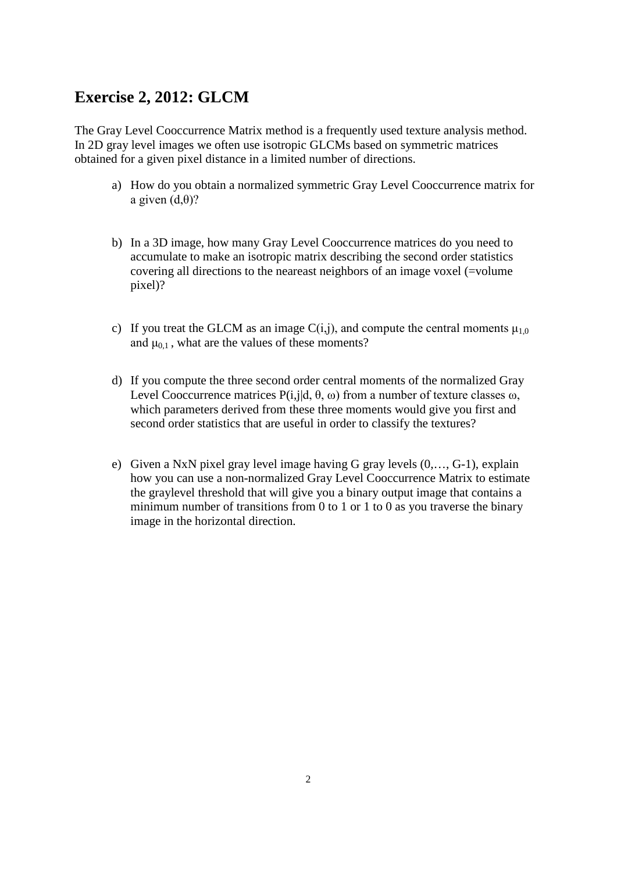### **Exercise 2, 2012: GLCM**

The Gray Level Cooccurrence Matrix method is a frequently used texture analysis method. In 2D gray level images we often use isotropic GLCMs based on symmetric matrices obtained for a given pixel distance in a limited number of directions.

- a) How do you obtain a normalized symmetric Gray Level Cooccurrence matrix for a given  $(d, \theta)$ ?
- b) In a 3D image, how many Gray Level Cooccurrence matrices do you need to accumulate to make an isotropic matrix describing the second order statistics covering all directions to the neareast neighbors of an image voxel (=volume pixel)?
- c) If you treat the GLCM as an image  $C(i,j)$ , and compute the central moments  $\mu_{1,0}$ and  $\mu_{0,1}$ , what are the values of these moments?
- d) If you compute the three second order central moments of the normalized Gray Level Cooccurrence matrices  $P(i,j|d, \theta, \omega)$  from a number of texture classes  $\omega$ , which parameters derived from these three moments would give you first and second order statistics that are useful in order to classify the textures?
- e) Given a NxN pixel gray level image having G gray levels (0,…, G-1), explain how you can use a non-normalized Gray Level Cooccurrence Matrix to estimate the graylevel threshold that will give you a binary output image that contains a minimum number of transitions from 0 to 1 or 1 to 0 as you traverse the binary image in the horizontal direction.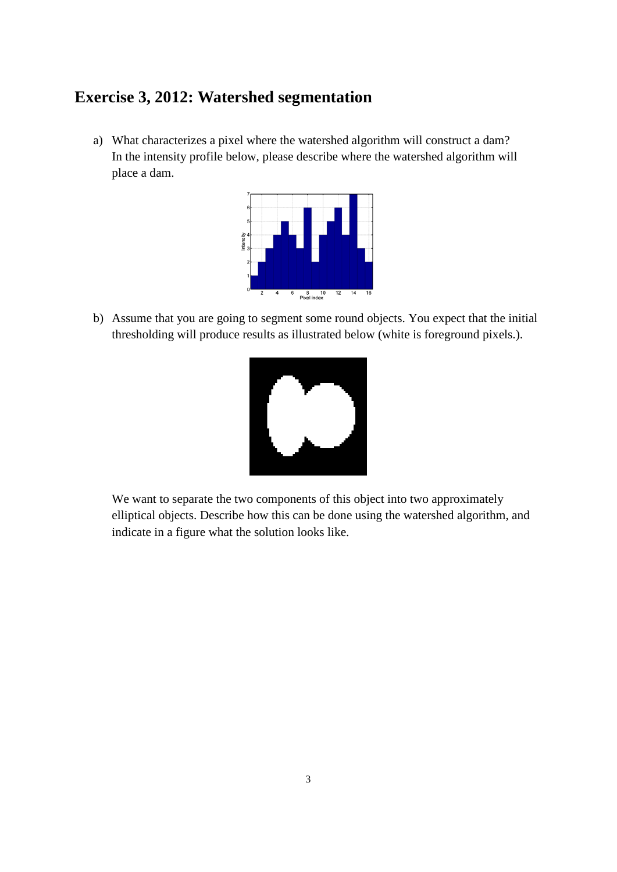#### **Exercise 3, 2012: Watershed segmentation**

a) What characterizes a pixel where the watershed algorithm will construct a dam? In the intensity profile below, please describe where the watershed algorithm will place a dam.



b) Assume that you are going to segment some round objects. You expect that the initial thresholding will produce results as illustrated below (white is foreground pixels.).



We want to separate the two components of this object into two approximately elliptical objects. Describe how this can be done using the watershed algorithm, and indicate in a figure what the solution looks like.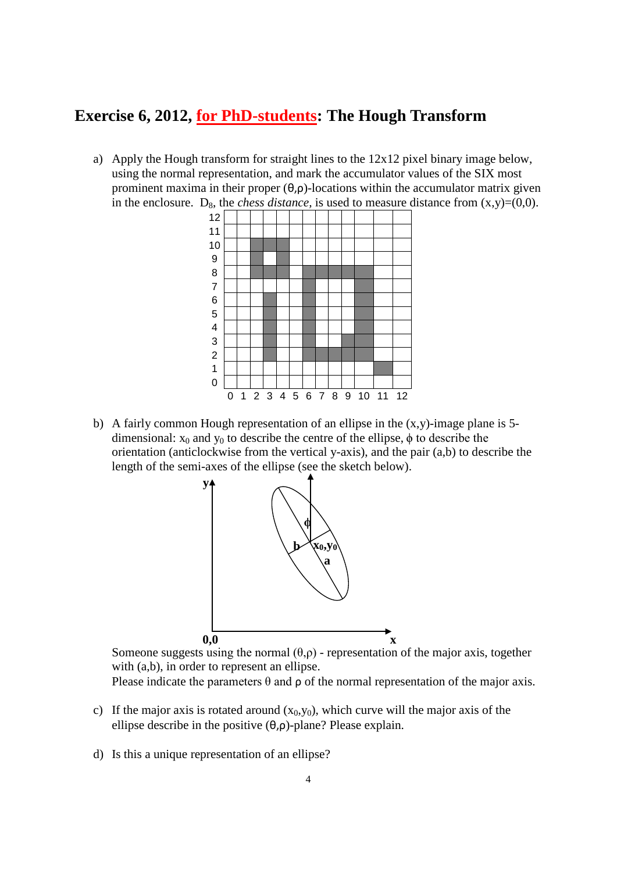## **Exercise 6, 2012, for PhD-students: The Hough Transform**

a) Apply the Hough transform for straight lines to the 12x12 pixel binary image below, using the normal representation, and mark the accumulator values of the SIX most prominent maxima in their proper (θ,ρ)-locations within the accumulator matrix given in the enclosure. D<sub>8</sub>, the *chess distance*, is used to measure distance from  $(x,y)=(0,0)$ .



b) A fairly common Hough representation of an ellipse in the  $(x,y)$ -image plane is 5dimensional:  $x_0$  and  $y_0$  to describe the centre of the ellipse,  $\phi$  to describe the orientation (anticlockwise from the vertical y-axis), and the pair (a,b) to describe the length of the semi-axes of the ellipse (see the sketch below).



Someone suggests using the normal  $(\theta, \rho)$  - representation of the major axis, together with (a,b), in order to represent an ellipse.

Please indicate the parameters  $\theta$  and  $\rho$  of the normal representation of the major axis.

- c) If the major axis is rotated around  $(x_0, y_0)$ , which curve will the major axis of the ellipse describe in the positive  $(\theta, \rho)$ -plane? Please explain.
- d) Is this a unique representation of an ellipse?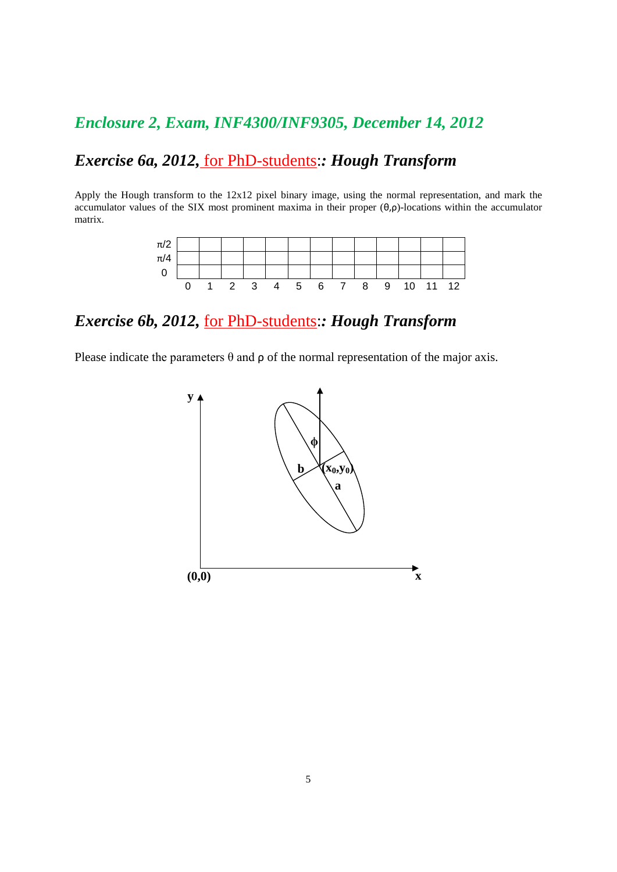## *Enclosure 2, Exam, INF4300/INF9305, December 14, 2012*

## *Exercise 6a, 2012,* for PhD-students:*: Hough Transform*

Apply the Hough transform to the 12x12 pixel binary image, using the normal representation, and mark the accumulator values of the SIX most prominent maxima in their proper (θ,ρ)-locations within the accumulator matrix.

| $\pi/2$ |  |              |   |                |    |   |   |          |  |
|---------|--|--------------|---|----------------|----|---|---|----------|--|
| $\pi/4$ |  |              |   |                |    |   |   |          |  |
| ν       |  |              |   |                |    |   |   |          |  |
|         |  | $\mathbf{3}$ | 4 | 5 <sup>5</sup> | 67 | 8 | 9 | 10 11 12 |  |

## *Exercise 6b, 2012,* for PhD-students:*: Hough Transform*

Please indicate the parameters  $\theta$  and  $\rho$  of the normal representation of the major axis.

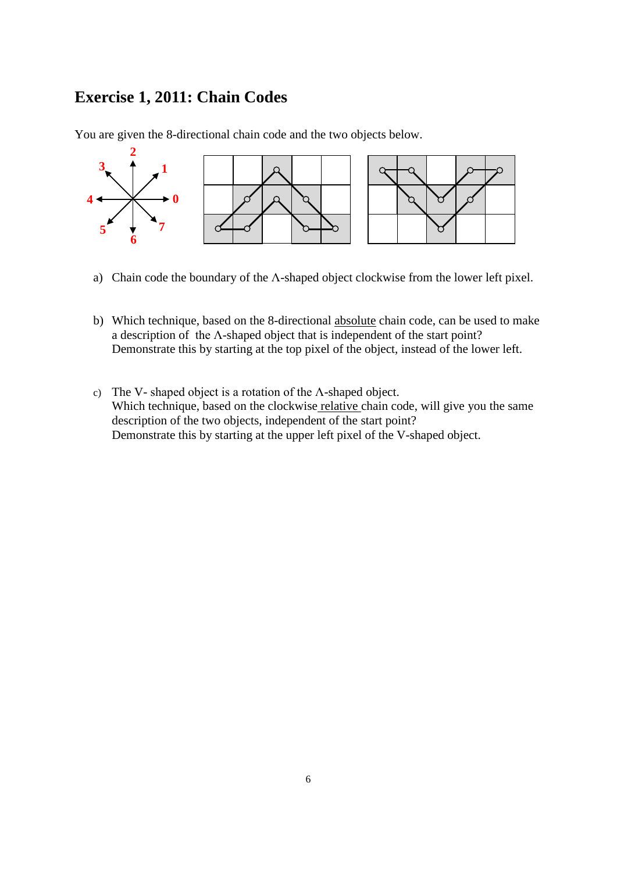### **Exercise 1, 2011: Chain Codes**

You are given the 8-directional chain code and the two objects below.



- a) Chain code the boundary of the Λ-shaped object clockwise from the lower left pixel.
- b) Which technique, based on the 8-directional absolute chain code, can be used to make a description of the Λ-shaped object that is independent of the start point? Demonstrate this by starting at the top pixel of the object, instead of the lower left.
- c) The V- shaped object is a rotation of the Λ-shaped object. Which technique, based on the clockwise relative chain code, will give you the same description of the two objects, independent of the start point? Demonstrate this by starting at the upper left pixel of the V-shaped object.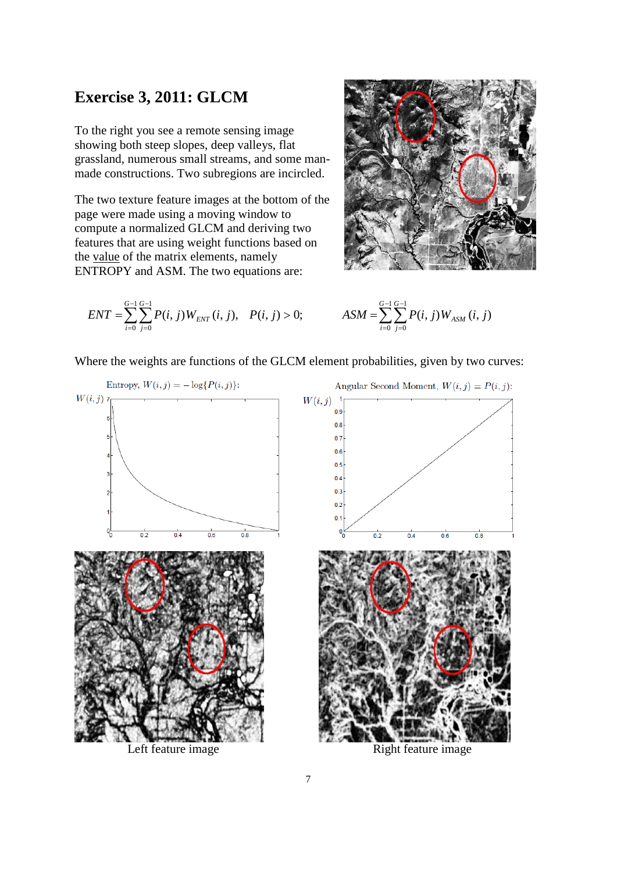#### **Exercise 3, 2011: GLCM**

To the right you see a remote sensing image showing both steep slopes, deep valleys, flat grassland, numerous small streams, and some manmade constructions. Two subregions are incircled.

The two texture feature images at the bottom of the page were made using a moving window to compute a normalized GLCM and deriving two features that are using weight functions based on the value of the matrix elements, namely ENTROPY and ASM. The two equations are:



$$
ENT = \sum_{i=0}^{G-1} \sum_{j=0}^{G-1} P(i, j) W_{ENT}(i, j), \quad P(i, j) > 0; \qquad \qquad ASM = \sum_{i=0}^{G-1} \sum_{j=0}^{G-1} P(i, j) W_{ASM}(i, j)
$$

$$
ASM = \sum_{i=0}^{G-1} \sum_{j=0}^{G-1} P(i, j) W_{ASM} (i, j)
$$

Where the weights are functions of the GLCM element probabilities, given by two curves:



Left feature image Right feature image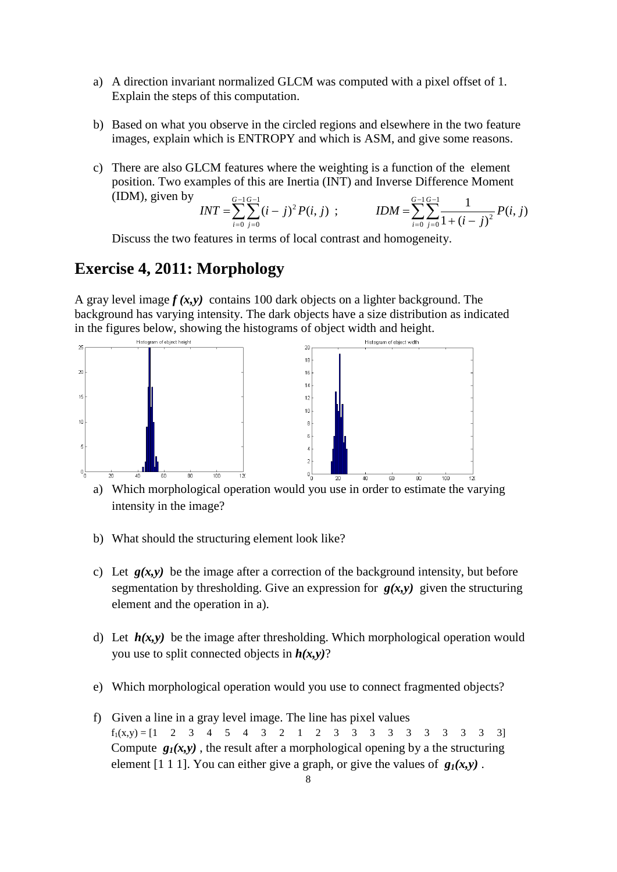- a) A direction invariant normalized GLCM was computed with a pixel offset of 1. Explain the steps of this computation.
- b) Based on what you observe in the circled regions and elsewhere in the two feature images, explain which is ENTROPY and which is ASM, and give some reasons.
- c) There are also GLCM features where the weighting is a function of the element position. Two examples of this are Inertia (INT) and Inverse Difference Moment (IDM), given by

$$
INT = \sum_{i=0}^{G-1} \sum_{j=0}^{G-1} (i-j)^2 P(i,j) ; \qquad IDM = \sum_{i=0}^{G-1} \sum_{j=0}^{G-1} \frac{1}{1 + (i-j)^2} P(i,j)
$$

Discuss the two features in terms of local contrast and homogeneity.

### **Exercise 4, 2011: Morphology**

A gray level image  $f(x, y)$  contains 100 dark objects on a lighter background. The background has varying intensity. The dark objects have a size distribution as indicated in the figures below, showing the histograms of object width and height.



a) Which morphological operation would you use in order to estimate the varying intensity in the image?

- b) What should the structuring element look like?
- c) Let  $g(x,y)$  be the image after a correction of the background intensity, but before segmentation by thresholding. Give an expression for  $g(x, y)$  given the structuring element and the operation in a).
- d) Let  $h(x, y)$  be the image after thresholding. Which morphological operation would you use to split connected objects in *h(x,y)*?
- e) Which morphological operation would you use to connect fragmented objects?
- f) Given a line in a gray level image. The line has pixel values  $f_1(x,y) = \begin{bmatrix} 1 & 2 & 3 & 4 & 5 & 4 & 3 & 2 & 1 & 2 & 3 & 3 & 3 & 3 & 3 & 3 & 3 & 3 & 3 \end{bmatrix}$ Compute  $g_1(x, y)$ , the result after a morphological opening by a the structuring element [1 1 1]. You can either give a graph, or give the values of  $g_1(x, y)$ .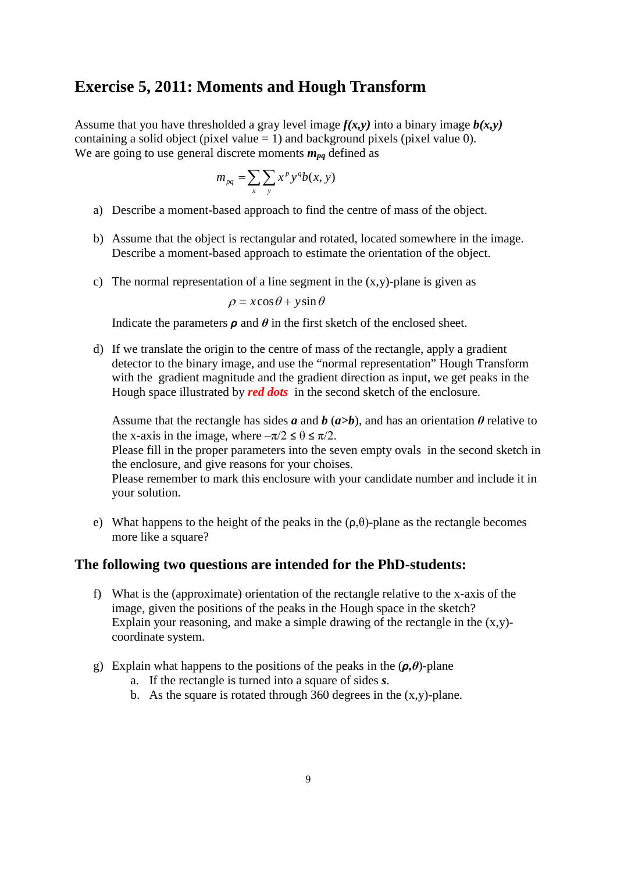#### **Exercise 5, 2011: Moments and Hough Transform**

Assume that you have thresholded a gray level image  $f(x, y)$  into a binary image  $b(x, y)$ containing a solid object (pixel value  $= 1$ ) and background pixels (pixel value 0). We are going to use general discrete moments  $m_{na}$  defined as

$$
m_{pq} = \sum_{x} \sum_{y} x^p y^q b(x, y)
$$

- a) Describe a moment-based approach to find the centre of mass of the object.
- b) Assume that the object is rectangular and rotated, located somewhere in the image. Describe a moment-based approach to estimate the orientation of the object.
- c) The normal representation of a line segment in the  $(x,y)$ -plane is given as

 $\rho = x \cos \theta + y \sin \theta$ 

Indicate the parameters  $\rho$  and  $\theta$  in the first sketch of the enclosed sheet.

d) If we translate the origin to the centre of mass of the rectangle, apply a gradient detector to the binary image, and use the "normal representation" Hough Transform with the gradient magnitude and the gradient direction as input, we get peaks in the Hough space illustrated by *red dots* in the second sketch of the enclosure.

Assume that the rectangle has sides  $a$  and  $b$  ( $a>b$ ), and has an orientation  $\theta$  relative to the x-axis in the image, where  $-\pi/2 \le \theta \le \pi/2$ .

Please fill in the proper parameters into the seven empty ovals in the second sketch in the enclosure, and give reasons for your choises.

Please remember to mark this enclosure with your candidate number and include it in your solution.

e) What happens to the height of the peaks in the  $(\rho, \theta)$ -plane as the rectangle becomes more like a square?

#### **The following two questions are intended for the PhD-students:**

- f) What is the (approximate) orientation of the rectangle relative to the x-axis of the image, given the positions of the peaks in the Hough space in the sketch? Explain your reasoning, and make a simple drawing of the rectangle in the  $(x,y)$ coordinate system.
- g) Explain what happens to the positions of the peaks in the (*ρ,θ*)-plane
	- a. If the rectangle is turned into a square of sides *s*.
	- b. As the square is rotated through 360 degrees in the  $(x,y)$ -plane.